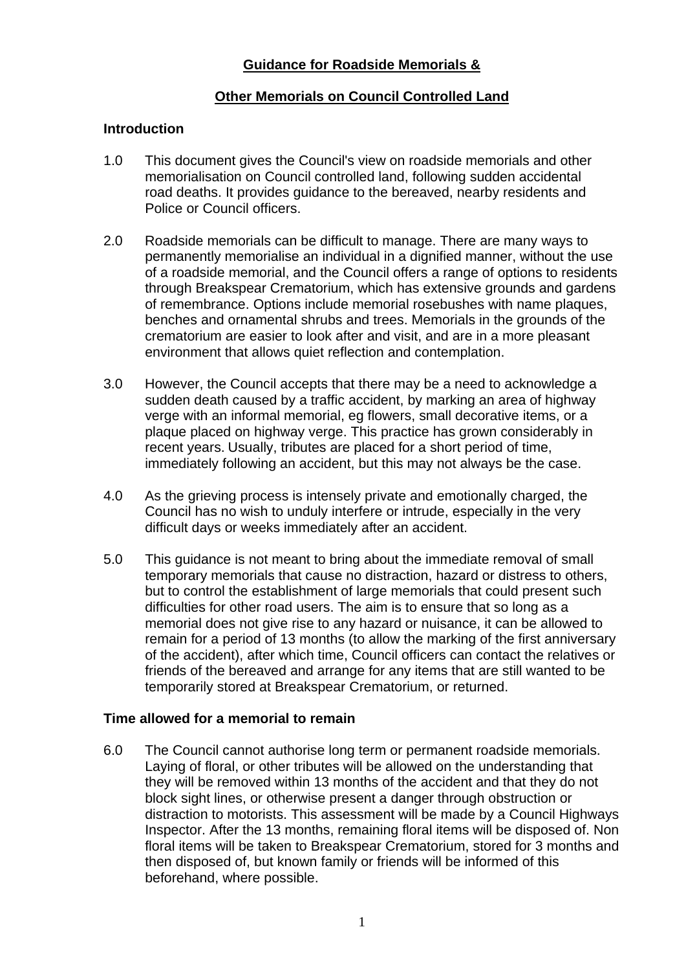# **Other Memorials on Council Controlled Land**

## **Introduction**

- 1.0 This document gives the Council's view on roadside memorials and other memorialisation on Council controlled land, following sudden accidental road deaths. It provides guidance to the bereaved, nearby residents and Police or Council officers.
- 2.0 Roadside memorials can be difficult to manage. There are many ways to permanently memorialise an individual in a dignified manner, without the use of a roadside memorial, and the Council offers a range of options to residents through Breakspear Crematorium, which has extensive grounds and gardens of remembrance. Options include memorial rosebushes with name plaques, benches and ornamental shrubs and trees. Memorials in the grounds of the crematorium are easier to look after and visit, and are in a more pleasant environment that allows quiet reflection and contemplation.
- 3.0 However, the Council accepts that there may be a need to acknowledge a sudden death caused by a traffic accident, by marking an area of highway verge with an informal memorial, eg flowers, small decorative items, or a plaque placed on highway verge. This practice has grown considerably in recent years. Usually, tributes are placed for a short period of time, immediately following an accident, but this may not always be the case.
- 4.0 As the grieving process is intensely private and emotionally charged, the Council has no wish to unduly interfere or intrude, especially in the very difficult days or weeks immediately after an accident.
- 5.0 This guidance is not meant to bring about the immediate removal of small temporary memorials that cause no distraction, hazard or distress to others, but to control the establishment of large memorials that could present such difficulties for other road users. The aim is to ensure that so long as a memorial does not give rise to any hazard or nuisance, it can be allowed to remain for a period of 13 months (to allow the marking of the first anniversary of the accident), after which time, Council officers can contact the relatives or friends of the bereaved and arrange for any items that are still wanted to be temporarily stored at Breakspear Crematorium, or returned.

## **Time allowed for a memorial to remain**

6.0 The Council cannot authorise long term or permanent roadside memorials. Laying of floral, or other tributes will be allowed on the understanding that they will be removed within 13 months of the accident and that they do not block sight lines, or otherwise present a danger through obstruction or distraction to motorists. This assessment will be made by a Council Highways Inspector. After the 13 months, remaining floral items will be disposed of. Non floral items will be taken to Breakspear Crematorium, stored for 3 months and then disposed of, but known family or friends will be informed of this beforehand, where possible.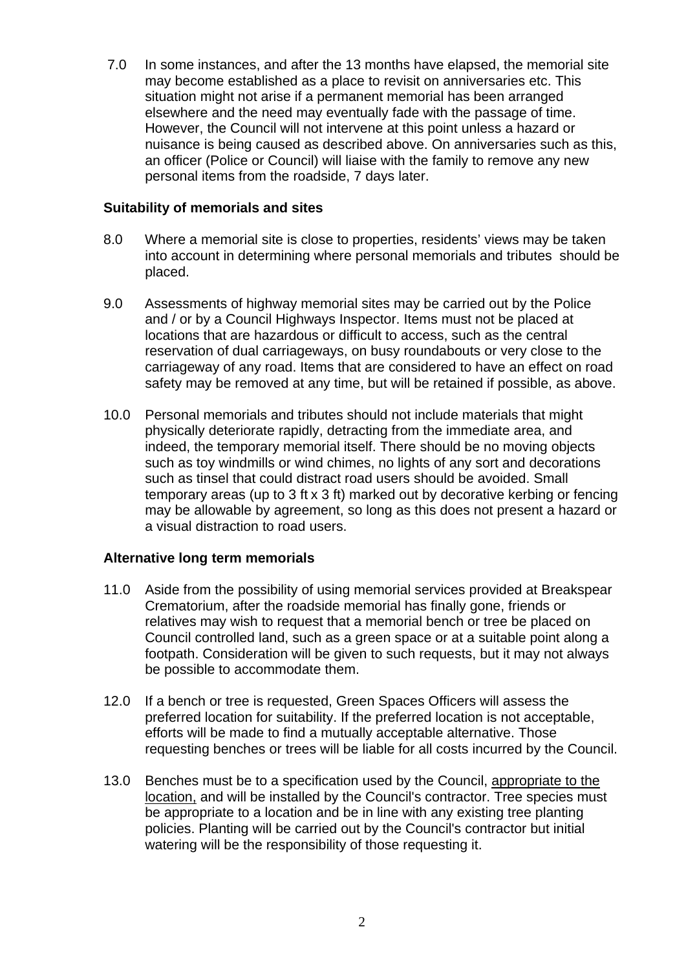7.0 In some instances, and after the 13 months have elapsed, the memorial site may become established as a place to revisit on anniversaries etc. This situation might not arise if a permanent memorial has been arranged elsewhere and the need may eventually fade with the passage of time. However, the Council will not intervene at this point unless a hazard or nuisance is being caused as described above. On anniversaries such as this, an officer (Police or Council) will liaise with the family to remove any new personal items from the roadside, 7 days later.

#### **Suitability of memorials and sites**

- 8.0 Where a memorial site is close to properties, residents' views may be taken into account in determining where personal memorials and tributes should be placed.
- 9.0 Assessments of highway memorial sites may be carried out by the Police and / or by a Council Highways Inspector. Items must not be placed at locations that are hazardous or difficult to access, such as the central reservation of dual carriageways, on busy roundabouts or very close to the carriageway of any road. Items that are considered to have an effect on road safety may be removed at any time, but will be retained if possible, as above.
- 10.0 Personal memorials and tributes should not include materials that might physically deteriorate rapidly, detracting from the immediate area, and indeed, the temporary memorial itself. There should be no moving objects such as toy windmills or wind chimes, no lights of any sort and decorations such as tinsel that could distract road users should be avoided. Small temporary areas (up to 3 ft x 3 ft) marked out by decorative kerbing or fencing may be allowable by agreement, so long as this does not present a hazard or a visual distraction to road users.

### **Alternative long term memorials**

- 11.0 Aside from the possibility of using memorial services provided at Breakspear Crematorium, after the roadside memorial has finally gone, friends or relatives may wish to request that a memorial bench or tree be placed on Council controlled land, such as a green space or at a suitable point along a footpath. Consideration will be given to such requests, but it may not always be possible to accommodate them.
- 12.0 If a bench or tree is requested, Green Spaces Officers will assess the preferred location for suitability. If the preferred location is not acceptable, efforts will be made to find a mutually acceptable alternative. Those requesting benches or trees will be liable for all costs incurred by the Council.
- 13.0 Benches must be to a specification used by the Council, appropriate to the location, and will be installed by the Council's contractor. Tree species must be appropriate to a location and be in line with any existing tree planting policies. Planting will be carried out by the Council's contractor but initial watering will be the responsibility of those requesting it.